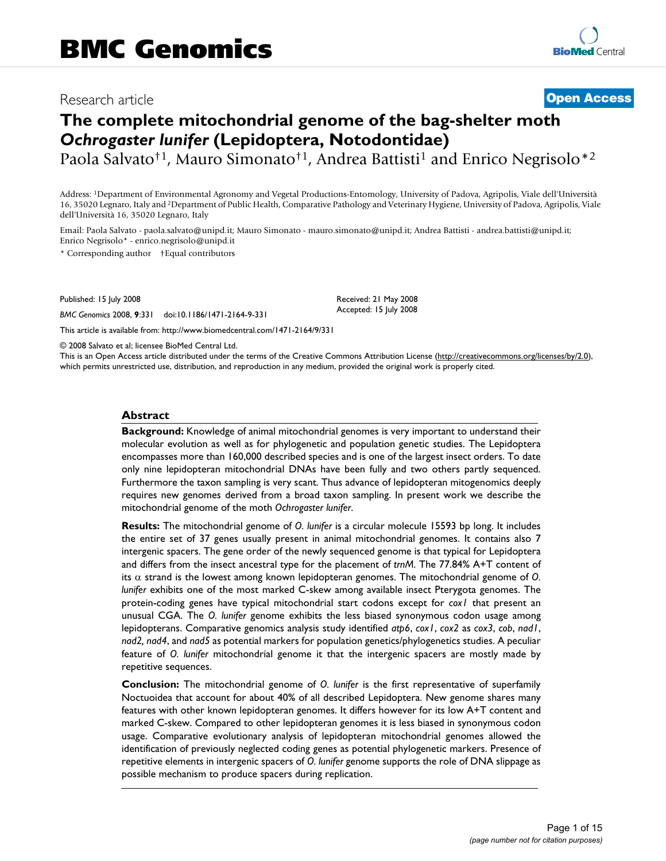## Research article **[Open Access](http://www.biomedcentral.com/info/about/charter/)**

# **The complete mitochondrial genome of the bag-shelter moth**  *Ochrogaster lunifer* **(Lepidoptera, Notodontidae)**

Paola Salvato<sup>†1</sup>, Mauro Simonato<sup>†1</sup>, Andrea Battisti<sup>1</sup> and Enrico Negrisolo<sup>\*2</sup>

Address: 1Department of Environmental Agronomy and Vegetal Productions-Entomology, University of Padova, Agripolis, Viale dell'Università 16, 35020 Legnaro, Italy and 2Department of Public Health, Comparative Pathology and Veterinary Hygiene, University of Padova, Agripolis, Viale dell'Università 16, 35020 Legnaro, Italy

Email: Paola Salvato - paola.salvato@unipd.it; Mauro Simonato - mauro.simonato@unipd.it; Andrea Battisti - andrea.battisti@unipd.it; Enrico Negrisolo\* - enrico.negrisolo@unipd.it

\* Corresponding author †Equal contributors

Published: 15 July 2008

*BMC Genomics* 2008, **9**:331 doi:10.1186/1471-2164-9-331

[This article is available from: http://www.biomedcentral.com/1471-2164/9/331](http://www.biomedcentral.com/1471-2164/9/331)

© 2008 Salvato et al; licensee BioMed Central Ltd.

This is an Open Access article distributed under the terms of the Creative Commons Attribution License [\(http://creativecommons.org/licenses/by/2.0\)](http://creativecommons.org/licenses/by/2.0), which permits unrestricted use, distribution, and reproduction in any medium, provided the original work is properly cited.

Received: 21 May 2008 Accepted: 15 July 2008

#### **Abstract**

**Background:** Knowledge of animal mitochondrial genomes is very important to understand their molecular evolution as well as for phylogenetic and population genetic studies. The Lepidoptera encompasses more than 160,000 described species and is one of the largest insect orders. To date only nine lepidopteran mitochondrial DNAs have been fully and two others partly sequenced. Furthermore the taxon sampling is very scant. Thus advance of lepidopteran mitogenomics deeply requires new genomes derived from a broad taxon sampling. In present work we describe the mitochondrial genome of the moth *Ochrogaster lunifer*.

**Results:** The mitochondrial genome of *O. lunifer* is a circular molecule 15593 bp long. It includes the entire set of 37 genes usually present in animal mitochondrial genomes. It contains also 7 intergenic spacers. The gene order of the newly sequenced genome is that typical for Lepidoptera and differs from the insect ancestral type for the placement of *trnM*. The 77.84% A+T content of its α strand is the lowest among known lepidopteran genomes. The mitochondrial genome of *O. lunifer* exhibits one of the most marked C-skew among available insect Pterygota genomes. The protein-coding genes have typical mitochondrial start codons except for *cox1* that present an unusual CGA. The *O. lunifer* genome exhibits the less biased synonymous codon usage among lepidopterans. Comparative genomics analysis study identified *atp6*, *cox1*, *cox2* as *cox3*, *cob*, *nad1*, *nad2, nad4*, and *nad5* as potential markers for population genetics/phylogenetics studies. A peculiar feature of *O. lunifer* mitochondrial genome it that the intergenic spacers are mostly made by repetitive sequences.

**Conclusion:** The mitochondrial genome of *O. lunifer* is the first representative of superfamily Noctuoidea that account for about 40% of all described Lepidoptera. New genome shares many features with other known lepidopteran genomes. It differs however for its low A+T content and marked C-skew. Compared to other lepidopteran genomes it is less biased in synonymous codon usage. Comparative evolutionary analysis of lepidopteran mitochondrial genomes allowed the identification of previously neglected coding genes as potential phylogenetic markers. Presence of repetitive elements in intergenic spacers of *O. lunifer* genome supports the role of DNA slippage as possible mechanism to produce spacers during replication.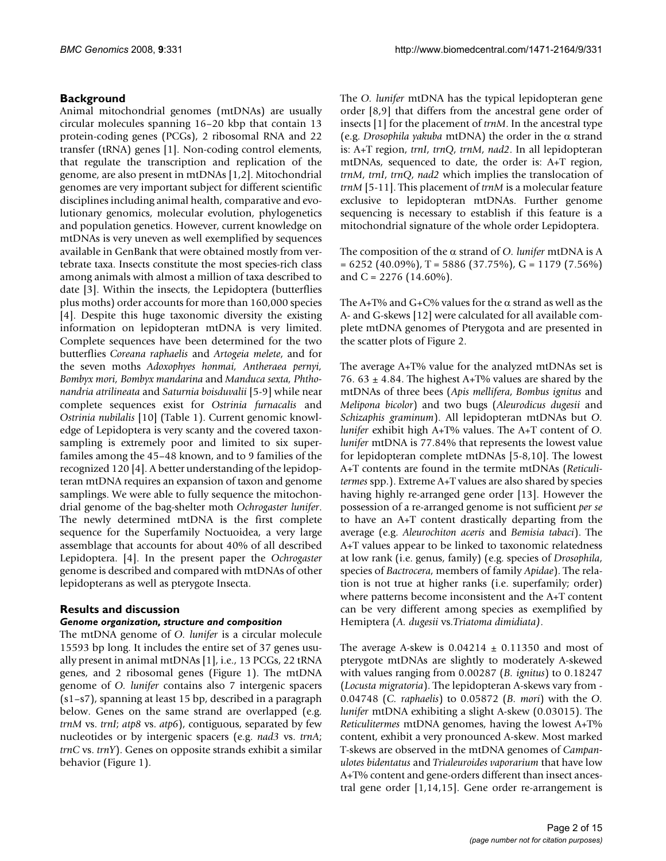## **Background**

Animal mitochondrial genomes (mtDNAs) are usually circular molecules spanning 16–20 kbp that contain 13 protein-coding genes (PCGs), 2 ribosomal RNA and 22 transfer (tRNA) genes [1]. Non-coding control elements, that regulate the transcription and replication of the genome, are also present in mtDNAs [1,2]. Mitochondrial genomes are very important subject for different scientific disciplines including animal health, comparative and evolutionary genomics, molecular evolution, phylogenetics and population genetics. However, current knowledge on mtDNAs is very uneven as well exemplified by sequences available in GenBank that were obtained mostly from vertebrate taxa. Insects constitute the most species-rich class among animals with almost a million of taxa described to date [3]. Within the insects, the Lepidoptera (butterflies plus moths) order accounts for more than 160,000 species [4]. Despite this huge taxonomic diversity the existing information on lepidopteran mtDNA is very limited. Complete sequences have been determined for the two butterflies *Coreana raphaelis* and *Artogeia melete*, and for the seven moths *Adoxophyes honmai, Antheraea pernyi, Bombyx mori, Bombyx mandarina* and *Manduca sexta, Phthonandria atrilineata* and *Saturnia boisduvalii* [5[-9\]](#page-13-0) while near complete sequences exist for *Ostrinia furnacalis* and *Ostrinia nubilalis* [10] (Table 1). Current genomic knowledge of Lepidoptera is very scanty and the covered taxonsampling is extremely poor and limited to six superfamiles among the 45–48 known, and to 9 families of the recognized 120 [4]. A better understanding of the lepidopteran mtDNA requires an expansion of taxon and genome samplings. We were able to fully sequence the mitochondrial genome of the bag-shelter moth *Ochrogaster lunifer*. The newly determined mtDNA is the first complete sequence for the Superfamily Noctuoidea, a very large assemblage that accounts for about 40% of all described Lepidoptera. [4]. In the present paper the *Ochrogaster* genome is described and compared with mtDNAs of other lepidopterans as well as pterygote Insecta.

## **Results and discussion**

#### *Genome organization, structure and composition*

The mtDNA genome of *O. lunifer* is a circular molecule 15593 bp long. It includes the entire set of 37 genes usually present in animal mtDNAs [1], i.e., 13 PCGs, 22 tRNA genes, and 2 ribosomal genes (Figure 1). The mtDNA genome of *O. lunifer* contains also 7 intergenic spacers (s1–s7), spanning at least 15 bp, described in a paragraph below. Genes on the same strand are overlapped (e.g. *trnM* vs. *trnI*; *atp8* vs. *atp6*), contiguous, separated by few nucleotides or by intergenic spacers (e.g. *nad3* vs. *trnA*; *trnC* vs. *trnY*). Genes on opposite strands exhibit a similar behavior (Figure 1).

The *O. lunifer* mtDNA has the typical lepidopteran gene order [[8](#page-13-1),[9](#page-13-0)] that differs from the ancestral gene order of insects [1] for the placement of *trnM*. In the ancestral type (e.g. *Drosophila yakuba* mtDNA) the order in the α strand is: A+T region, *trnI*, *trnQ*, *trnM*, *nad2*. In all lepidopteran mtDNAs, sequenced to date, the order is: A+T region, *trnM*, *trnI*, *trnQ*, *nad2* which implies the translocation of *trnM* [5-11]. This placement of *trnM* is a molecular feature exclusive to lepidopteran mtDNAs. Further genome sequencing is necessary to establish if this feature is a mitochondrial signature of the whole order Lepidoptera.

The composition of the α strand of *O. lunifer* mtDNA is A  $= 6252$  (40.09%), T = 5886 (37.75%), G = 1179 (7.56%) and C =  $2276$  (14.60%).

The A+T% and G+C% values for the  $\alpha$  strand as well as the A- and G-skews [12] were calculated for all available complete mtDNA genomes of Pterygota and are presented in the scatter plots of Figure 2.

The average A+T% value for the analyzed mtDNAs set is 76. 63  $\pm$  4.84. The highest A+T% values are shared by the mtDNAs of three bees (*Apis mellifera*, *Bombus ignitus* and *Melipona bicolor*) and two bugs (*Aleurodicus dugesii* and *Schizaphis graminum*). All lepidopteran mtDNAs but *O. lunifer* exhibit high A+T% values. The A+T content of *O. lunifer* mtDNA is 77.84% that represents the lowest value for lepidopteran complete mtDNAs [5[-8,](#page-13-1)10]. The lowest A+T contents are found in the termite mtDNAs (*Reticulitermes* spp.). Extreme A+T values are also shared by species having highly re-arranged gene order [13]. However the possession of a re-arranged genome is not sufficient *per se* to have an A+T content drastically departing from the average (e.g. *Aleurochiton aceris* and *Bemisia tabaci*). The A+T values appear to be linked to taxonomic relatedness at low rank (i.e. genus, family) (e.g. species of *Drosophila*, species of *Bactrocera*, members of family *Apidae*). The relation is not true at higher ranks (i.e. superfamily; order) where patterns become inconsistent and the A+T content can be very different among species as exemplified by Hemiptera (*A. dugesii* vs.*Triatoma dimidiata)*.

The average A-skew is  $0.04214 \pm 0.11350$  and most of pterygote mtDNAs are slightly to moderately A-skewed with values ranging from 0.00287 (*B. ignitus*) to 0.18247 (*Locusta migratoria*). The lepidopteran A-skews vary from - 0.04748 (*C. raphaelis*) to 0.05872 (*B. mori*) with the *O. lunifer* mtDNA exhibiting a slight A-skew (0.03015). The *Reticulitermes* mtDNA genomes, having the lowest A+T% content, exhibit a very pronounced A-skew. Most marked T-skews are observed in the mtDNA genomes of *Campanulotes bidentatus* and *Trialeuroides vaporarium* that have low A+T% content and gene-orders different than insect ancestral gene order [1,14,15]. Gene order re-arrangement is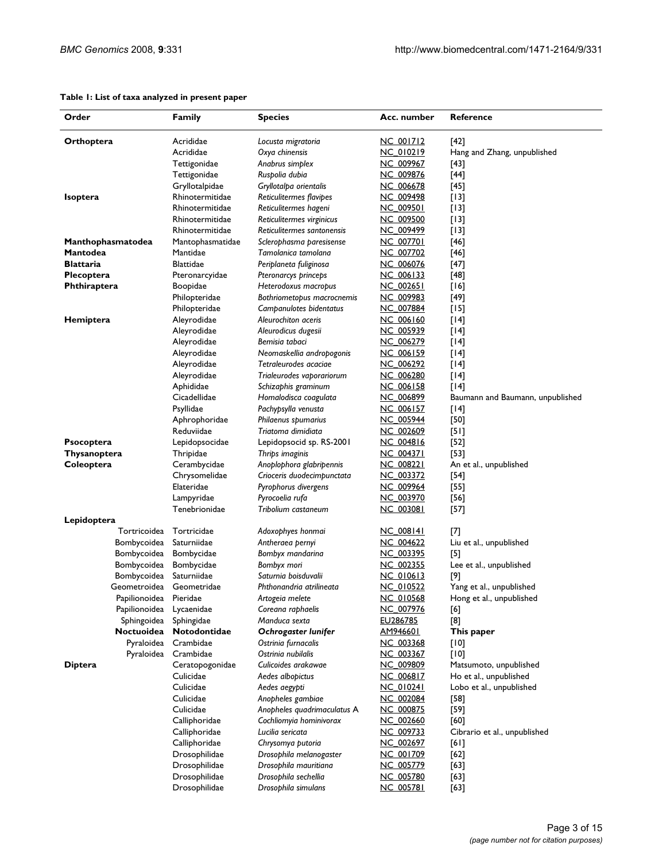#### **Table 1: List of taxa analyzed in present paper**

| Order                        | <b>Family</b>                | <b>Species</b>                                     | Acc. number            | Reference                        |  |
|------------------------------|------------------------------|----------------------------------------------------|------------------------|----------------------------------|--|
| Orthoptera                   | Acrididae                    | Locusta migratoria                                 | NC 001712              | [42]                             |  |
|                              | Acrididae                    | Oxya chinensis                                     | <u>NC 010219</u>       | Hang and Zhang, unpublished      |  |
|                              | Tettigonidae                 | Anabrus simplex                                    | NC 009967              | $[43]$                           |  |
|                              | Tettigonidae                 | Ruspolia dubia                                     | NC 009876              | $[44]$                           |  |
|                              | Gryllotalpidae               | Gryllotalpa orientalis                             | <b>NC 006678</b>       | [45]                             |  |
| <b>Isoptera</b>              | Rhinotermitidae              | Reticulitermes flavipes                            | NC 009498              | [13]                             |  |
|                              | Rhinotermitidae              | Reticulitermes hageni                              | NC 009501              | [13]                             |  |
|                              | Rhinotermitidae              | Reticulitermes virginicus                          | NC 009500              | [13]                             |  |
|                              | Rhinotermitidae              | Reticulitermes santonensis                         | NC 009499              | $[13]$                           |  |
| Manthophasmatodea            | Mantophasmatidae<br>Mantidae | Sclerophasma paresisense                           | NC 007701              | [46]                             |  |
| Mantodea<br><b>Blattaria</b> | <b>Blattidae</b>             | Tamolanica tamolana                                | NC 007702              | [46]                             |  |
|                              |                              | Periplaneta fuliginosa                             | NC 006076              | [47]                             |  |
| <b>Plecoptera</b>            | Pteronarcyidae               | Pteronarcys princeps                               | NC 006133<br>NC 002651 | [48]<br>[16]                     |  |
| <b>Phthiraptera</b>          | Boopidae<br>Philopteridae    | Heterodoxus macropus<br>Bothriometopus macrocnemis | NC 009983              |                                  |  |
|                              | Philopteridae                | Campanulotes bidentatus                            | NC 007884              | $[49]$<br>[15]                   |  |
| Hemiptera                    | Aleyrodidae                  | Aleurochiton aceris                                | <u>NC 006160</u>       | $[14]$                           |  |
|                              | Aleyrodidae                  | Aleurodicus dugesii                                | NC 005939              | [14]                             |  |
|                              | Aleyrodidae                  | Bemisia tabaci                                     | NC 006279              | [14]                             |  |
|                              | Aleyrodidae                  | Neomaskellia andropogonis                          | NC 006159              | [14]                             |  |
|                              | Aleyrodidae                  | Tetraleurodes acaciae                              | NC 006292              | [14]                             |  |
|                              | Aleyrodidae                  | Trialeurodes vaporariorum                          | NC 006280              | $[14]$                           |  |
|                              | Aphididae                    | Schizaphis graminum                                | NC 006158              | $[14]$                           |  |
|                              | Cicadellidae                 | Homalodisca coagulata                              | NC 006899              | Baumann and Baumann, unpublished |  |
|                              | Psyllidae                    | Pachypsylla venusta                                | <b>NC 006157</b>       | $[14]$                           |  |
|                              | Aphrophoridae                | Philaenus spumarius                                | NC 005944              | [50]                             |  |
|                              | Reduviidae                   | Triatoma dimidiata                                 | NC 002609              | [5]                              |  |
| <b>Psocoptera</b>            | Lepidopsocidae               | Lepidopsocid sp. RS-2001                           | NC 004816              | $[52]$                           |  |
| Thysanoptera                 | Thripidae                    | Thrips imaginis                                    | <u>NC 004371</u>       | $[53]$                           |  |
| Coleoptera                   | Cerambycidae                 | Anoplophora glabripennis                           | NC 008221              | An et al., unpublished           |  |
|                              | Chrysomelidae                | Crioceris duodecimpunctata                         | NC 003372              | $[54]$                           |  |
|                              | Elateridae                   | Pyrophorus divergens                               | NC 009964              | $[55]$                           |  |
|                              | Lampyridae                   | Pyrocoelia rufa                                    | NC 003970              | [56]                             |  |
|                              | Tenebrionidae                | Tribolium castaneum                                | NC 003081              | [57]                             |  |
| Lepidoptera                  |                              |                                                    |                        |                                  |  |
| Tortricoidea                 | Tortricidae                  | Adoxophyes honmai                                  | NC 008141              | $^{[7]}$                         |  |
| Bombycoidea                  | Saturniidae                  | Antheraea pernyi                                   | NC 004622              | Liu et al., unpublished          |  |
| Bombycoidea                  | Bombycidae                   | Bombyx mandarina                                   | <u>NC 003395</u>       | $[5]$                            |  |
| Bombycoidea                  | Bombycidae                   | Bombyx mori                                        | NC 002355              | Lee et al., unpublished          |  |
| Bombycoidea                  | Saturniidae                  | Saturnia boisduvalii                               | <u>NC 010613</u>       | [9]                              |  |
| Geometroidea                 | Geometridae                  | Phthonandria atrilineata                           | <b>NC 010522</b>       | Yang et al., unpublished         |  |
| Papilionoidea                | Pieridae                     | Artogeia melete                                    | NC_010568              | Hong et al., unpublished         |  |
| Papilionoidea                | Lycaenidae                   | Coreana raphaelis                                  | NC 007976              | [6]                              |  |
| Sphingoidea                  | Sphingidae                   | Manduca sexta                                      | EU286785               | $^{[8]}$                         |  |
| Noctuoidea                   | Notodontidae                 | Ochrogaster lunifer                                | <u>AM946601</u>        | This paper                       |  |
| Pyraloidea                   | Crambidae                    | Ostrinia furnacalis                                | NC 003368              | [10]                             |  |
| Pyraloidea                   | Crambidae                    | Ostrinia nubilalis                                 | NC 003367              | [10]                             |  |
| <b>Diptera</b>               | Ceratopogonidae              | Culicoides arakawae                                | NC 009809              | Matsumoto, unpublished           |  |
|                              | Culicidae                    | Aedes albopictus                                   | NC 006817              | Ho et al., unpublished           |  |
|                              | Culicidae                    | Aedes aegypti                                      | NC 010241              | Lobo et al., unpublished         |  |
|                              | Culicidae                    | Anopheles gambiae                                  | NC_002084              | $[58]$                           |  |
|                              | Culicidae                    | Anopheles quadrimaculatus A                        | NC 000875              | $[59]$                           |  |
|                              | Calliphoridae                | Cochliomyia hominivorax                            | <u>NC 002660</u>       | [60]                             |  |
|                              | Calliphoridae                | Lucilia sericata                                   | NC 009733              | Cibrario et al., unpublished     |  |
|                              | Calliphoridae                | Chrysomya putoria                                  | NC 002697              | [6]                              |  |
|                              | Drosophilidae                | Drosophila melanogaster                            | NC 001709              | $[62]$                           |  |
|                              | Drosophilidae                | Drosophila mauritiana                              | <b>NC 005779</b>       | $[63]$                           |  |
|                              | Drosophilidae                | Drosophila sechellia                               | NC 005780              | $[63]$                           |  |
|                              | Drosophilidae                | Drosophila simulans                                | NC 005781              | $[63]$                           |  |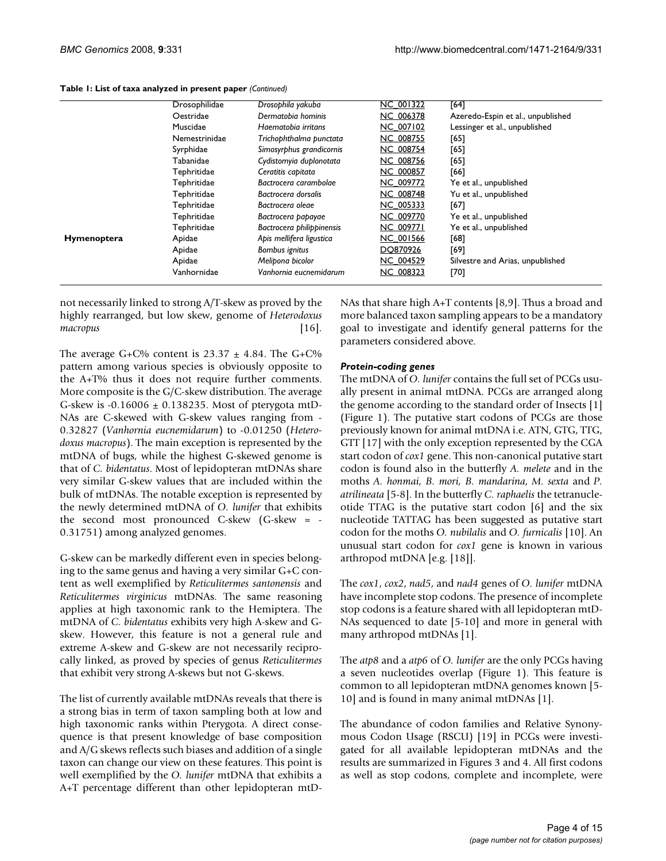|             | Drosophilidae | Drosophila yakuba         | <b>NC 001322</b> | [64]                                                                       |  |
|-------------|---------------|---------------------------|------------------|----------------------------------------------------------------------------|--|
|             | Oestridae     | Dermatobia hominis        | NC 006378        | Azeredo-Espin et al., unpublished<br>Lessinger et al., unpublished<br>[65] |  |
|             | Muscidae      | Haematobia irritans       | <b>NC 007102</b> |                                                                            |  |
|             | Nemestrinidae | Trichophthalma punctata   | <b>NC 008755</b> |                                                                            |  |
|             | Syrphidae     | Simosyrphus grandicornis  | <b>NC 008754</b> | [65]                                                                       |  |
|             | Tabanidae     | Cydistomyia duplonotata   | <b>NC 008756</b> | [65]                                                                       |  |
|             | Tephritidae   | Ceratitis capitata        | <b>NC 000857</b> | [66]                                                                       |  |
|             | Tephritidae   | Bactrocera carambolae     | NC 009772        | Ye et al., unpublished                                                     |  |
|             | Tephritidae   | Bactrocera dorsalis       | <b>NC 008748</b> | Yu et al., unpublished                                                     |  |
|             | Tephritidae   | Bactrocera oleae          | NC 005333        | [67]                                                                       |  |
|             | Tephritidae   | Bactrocera papayae        | NC 009770        | Ye et al., unpublished                                                     |  |
|             | Tephritidae   | Bactrocera philippinensis | <b>NC 009771</b> | Ye et al., unpublished                                                     |  |
| Hymenoptera | Apidae        | Apis mellifera ligustica  | <b>NC 001566</b> | [68]                                                                       |  |
|             | Apidae        | Bombus ignitus            | DQ870926         | [69]                                                                       |  |
|             | Apidae        | Melipona bicolor          | <b>NC 004529</b> | Silvestre and Arias, unpublished                                           |  |
|             | Vanhornidae   | Vanhornia eucnemidarum    | NC 008323        | [70]                                                                       |  |

**Table 1: List of taxa analyzed in present paper** *(Continued)*

not necessarily linked to strong A/T-skew as proved by the highly rearranged, but low skew, genome of *Heterodoxus macropus* [\[16](#page-13-2)].

The average G+C% content is  $23.37 \pm 4.84$ . The G+C% pattern among various species is obviously opposite to the A+T% thus it does not require further comments. More composite is the G/C-skew distribution. The average G-skew is -0.16006 ± 0.138235. Most of pterygota mtD-NAs are C-skewed with G-skew values ranging from - 0.32827 (*Vanhornia eucnemidarum*) to -0.01250 (*Heterodoxus macropus*). The main exception is represented by the mtDNA of bugs, while the highest G-skewed genome is that of *C. bidentatus*. Most of lepidopteran mtDNAs share very similar G-skew values that are included within the bulk of mtDNAs. The notable exception is represented by the newly determined mtDNA of *O. lunifer* that exhibits the second most pronounced C-skew (G-skew = - 0.31751) among analyzed genomes.

G-skew can be markedly different even in species belonging to the same genus and having a very similar G+C content as well exemplified by *Reticulitermes santonensis* and *Reticulitermes virginicus* mtDNAs. The same reasoning applies at high taxonomic rank to the Hemiptera. The mtDNA of *C. bidentatus* exhibits very high A-skew and Gskew. However, this feature is not a general rule and extreme A-skew and G-skew are not necessarily reciprocally linked, as proved by species of genus *Reticulitermes* that exhibit very strong A-skews but not G-skews.

The list of currently available mtDNAs reveals that there is a strong bias in term of taxon sampling both at low and high taxonomic ranks within Pterygota. A direct consequence is that present knowledge of base composition and A/G skews reflects such biases and addition of a single taxon can change our view on these features. This point is well exemplified by the *O. lunifer* mtDNA that exhibits a A+T percentage different than other lepidopteran mtD-

NAs that share high A+T contents [\[8](#page-13-1),[9](#page-13-0)]. Thus a broad and more balanced taxon sampling appears to be a mandatory goal to investigate and identify general patterns for the parameters considered above.

## *Protein-coding genes*

The mtDNA of *O. lunifer* contains the full set of PCGs usually present in animal mtDNA. PCGs are arranged along the genome according to the standard order of Insects [1] (Figure 1). The putative start codons of PCGs are those previously known for animal mtDNA i.e. ATN, GTG, TTG, GTT [17] with the only exception represented by the CGA start codon of *cox1* gene. This non-canonical putative start codon is found also in the butterfly *A. melete* and in the moths *A. honmai, B. mori, B. mandarina*, *M. sexta* and *P. atrilineata* [5-[8](#page-13-1)]. In the butterfly *C. raphaelis* the tetranucleotide TTAG is the putative start codon [\[6\]](#page-13-4) and the six nucleotide TATTAG has been suggested as putative start codon for the moths *O. nubilalis* and *O. furnicalis* [10]. An unusual start codon for *cox1* gene is known in various arthropod mtDNA [e.g. [18]].

The *cox1*, *cox2*, *nad5*, and *nad4* genes of *O. lunifer* mtDNA have incomplete stop codons. The presence of incomplete stop codons is a feature shared with all lepidopteran mtD-NAs sequenced to date [5-10] and more in general with many arthropod mtDNAs [1].

The *atp8* and a *atp6* of *O. lunifer* are the only PCGs having a seven nucleotides overlap (Figure 1). This feature is common to all lepidopteran mtDNA genomes known [5- 10] and is found in many animal mtDNAs [1].

The abundance of codon families and Relative Synonymous Codon Usage (RSCU) [19] in PCGs were investigated for all available lepidopteran mtDNAs and the results are summarized in Figures 3 and 4. All first codons as well as stop codons, complete and incomplete, were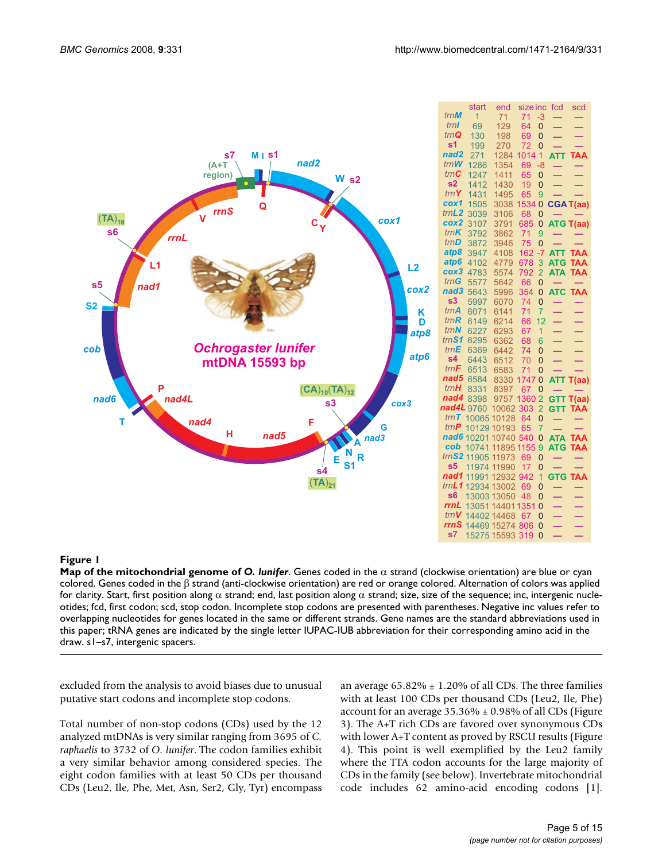

|                  | start       | end   | size inc        |                | fcd                      | scd                      |
|------------------|-------------|-------|-----------------|----------------|--------------------------|--------------------------|
| trn <b>M</b>     | 1           | 71    | 71              | -3             |                          | —                        |
| trnl             | 69          | 129   | 64              | $\overline{0}$ |                          |                          |
| trnQ             | 130         | 198   | 69              | 0              |                          | –                        |
| s1               | 199         | 270   | 72              | 0              | ═                        | $\equiv$                 |
| nad <sub>2</sub> | 271         | 1284  | 1014            | 1              | <b>ATT</b>               | <b>TAA</b>               |
| $trn$ <b>W</b>   | 1286        | 1354  | 69              | -8             |                          |                          |
| trnC             | 1247        | 1411  | 65              | 0              |                          |                          |
| s2               | 1412        | 1430  | 19              | 0              |                          |                          |
| trnY             | 1431        | 1495  | 65              | 9              |                          |                          |
| cox1             | 1505        | 3038  | 1534            | 0              |                          | <b>CGAT(aa)</b>          |
| trnL2            | 3039        | 3106  | 68              | 0              |                          |                          |
| cox2             | 3107        | 3791  | 685             | 0              | <b>ATG</b>               | T(aa)                    |
| trnK             | 3792        | 3862  | 71              | 9              |                          |                          |
| trn <b>D</b>     | 3872        | 3946  | 75              | 0              |                          |                          |
| atp8             | 3947        | 4108  | 162             | -7             | <b>ATT</b>               | <b>TAA</b>               |
| atp6             | 4102        | 4779  | 678             | 3              | <b>ATG</b>               | <b>TAA</b>               |
| сох3             | 4783        | 5574  | 792             | 2              | <b>ATA</b>               | <b>TAA</b>               |
| trnG             | 5577        | 5642  | 66              | 0              |                          | -                        |
| nad3             | 5643        | 5996  | 354             | 0              | <b>ATC</b>               | <b>TAA</b>               |
| s3               | 5997        | 6070  | 74              | 0              | $\equiv$                 | ═                        |
| trnA             | 6071        | 6141  | 71              | 7              | ═                        | -                        |
| trnR             | 6149        | 6214  | 66              | 12             | ═                        | $\overline{\phantom{0}}$ |
| trnN             | 6227        | 6293  | 67              | 1              | $\equiv$                 | —<br>—                   |
| tmS1             | 6295        | 6362  | 68              | 6              |                          |                          |
| trnE             | 6369        | 6442  | 74              | 0              | $\overline{\phantom{0}}$ | $\equiv$                 |
| s <sub>4</sub>   | 6443        | 6512  | 70              | 0              | $\equiv$                 |                          |
| trnF             | 6513        | 6583  | $\overline{7}1$ | 0              |                          |                          |
| nad5             | 6584        | 8330  | 1747            | 0              | <b>ATT</b>               | T(aa)                    |
| trnH             | 8331        | 8397  | 67              | ი              |                          | $\equiv$                 |
| nad4             | 8398        | 9757  | 1360            | $\overline{2}$ | <b>GTT</b>               | T(aa)                    |
| nad4L            | 9760        | 10062 | 303             | $\overline{2}$ | <b>GTT</b>               | <b>TAA</b>               |
| trnT             | 10065       | 10128 | 64              | 0              |                          |                          |
| trnP             | 10129       | 10193 | 65              | 7              |                          |                          |
| nad6             | 10201       | 10740 | 540             | 0              | <b>ATA</b>               | <b>TAA</b>               |
| cob              | 10741       | 11895 | 1155            | 9              | <b>ATG</b>               | <b>TAA</b>               |
| trnS2            | 11905       | 11973 | 69              | 0              | -                        | —                        |
| s <sub>5</sub>   | 11974       | 11990 | 17              | 0              | -                        |                          |
| nad1             | 11991       | 12932 | 942             | 1              | <b>GTG</b>               | <b>TAA</b>               |
| trnL1            | 12934       | 13002 | 69              | 0              | $\overline{\phantom{0}}$ | ═                        |
| s6               | 13003       | 13050 | 48              | 0              | ═                        | —                        |
| rrnL             | 13051       | 14401 | 1351            | 0              | $\overline{\phantom{0}}$ | ▃                        |
| trnV             | 14402       | 14468 | 67              | 0              | $\equiv$                 |                          |
| rrnS             | 14469 15274 |       | 806             | 0              |                          |                          |
| s7               | 15275 15593 |       | 319             | 0              |                          |                          |
|                  |             |       |                 |                |                          |                          |
|                  |             |       |                 |                |                          |                          |

**Map of the mitochondrial genome of** *O. lunifer*. Genes coded in the α strand (clockwise orientation) are blue or cyan colored. Genes coded in the β strand (anti-clockwise orientation) are red or orange colored. Alternation of colors was applied for clarity. Start, first position along  $\alpha$  strand; end, last position along  $\alpha$  strand; size, size of the sequence; inc, intergenic nucleotides; fcd, first codon; scd, stop codon. Incomplete stop codons are presented with parentheses. Negative inc values refer to overlapping nucleotides for genes located in the same or different strands. Gene names are the standard abbreviations used in this paper; tRNA genes are indicated by the single letter IUPAC-IUB abbreviation for their corresponding amino acid in the draw. s1–s7, intergenic spacers.

excluded from the analysis to avoid biases due to unusual putative start codons and incomplete stop codons.

Total number of non-stop codons (CDs) used by the 12 analyzed mtDNAs is very similar ranging from 3695 of *C. raphaelis* to 3732 of *O. lunifer*. The codon families exhibit a very similar behavior among considered species. The eight codon families with at least 50 CDs per thousand CDs (Leu2, Ile, Phe, Met, Asn, Ser2, Gly, Tyr) encompass an average  $65.82\% \pm 1.20\%$  of all CDs. The three families with at least 100 CDs per thousand CDs (Leu2, Ile, Phe) account for an average  $35.36\% \pm 0.98\%$  of all CDs (Figure 3). The A+T rich CDs are favored over synonymous CDs with lower A+T content as proved by RSCU results (Figure 4). This point is well exemplified by the Leu2 family where the TTA codon accounts for the large majority of CDs in the family (see below). Invertebrate mitochondrial code includes 62 amino-acid encoding codons [1].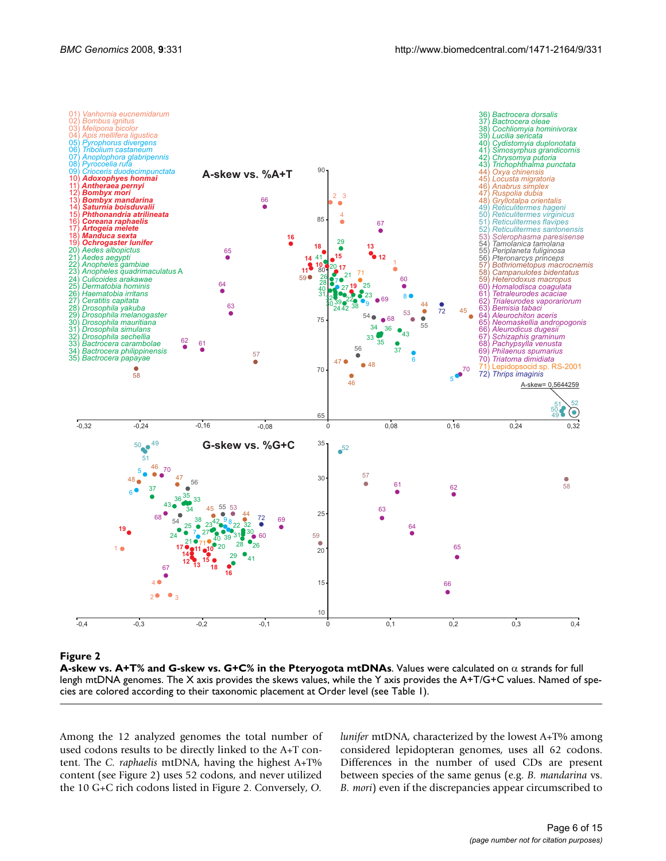

**A-skew vs. A+T% and G-skew vs. G+C% in the Pteryogota mtDNAs**. Values were calculated on α strands for full lengh mtDNA genomes. The X axis provides the skews values, while the Y axis provides the A+T/G+C values. Named of species are colored according to their taxonomic placement at Order level (see Table 1).

Among the 12 analyzed genomes the total number of used codons results to be directly linked to the A+T content. The *C. raphaelis* mtDNA, having the highest A+T% content (see Figure 2) uses 52 codons, and never utilized the 10 G+C rich codons listed in Figure 2. Conversely, *O.*

*lunifer* mtDNA, characterized by the lowest A+T% among considered lepidopteran genomes, uses all 62 codons. Differences in the number of used CDs are present between species of the same genus (e.g. *B. mandarina* vs. *B. mori*) even if the discrepancies appear circumscribed to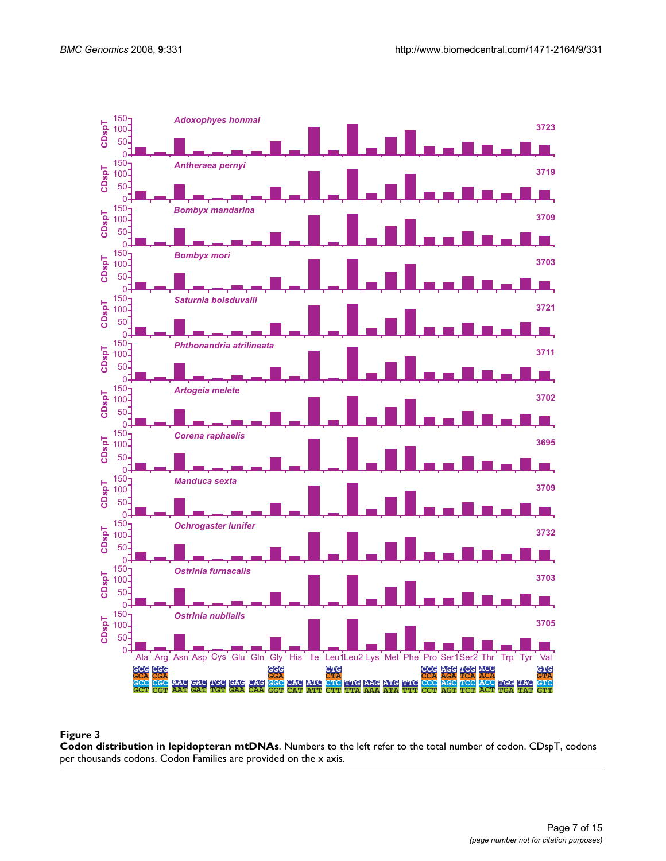

**Codon distribution in lepidopteran mtDNAs**. Numbers to the left refer to the total number of codon. CDspT, codons per thousands codons. Codon Families are provided on the x axis.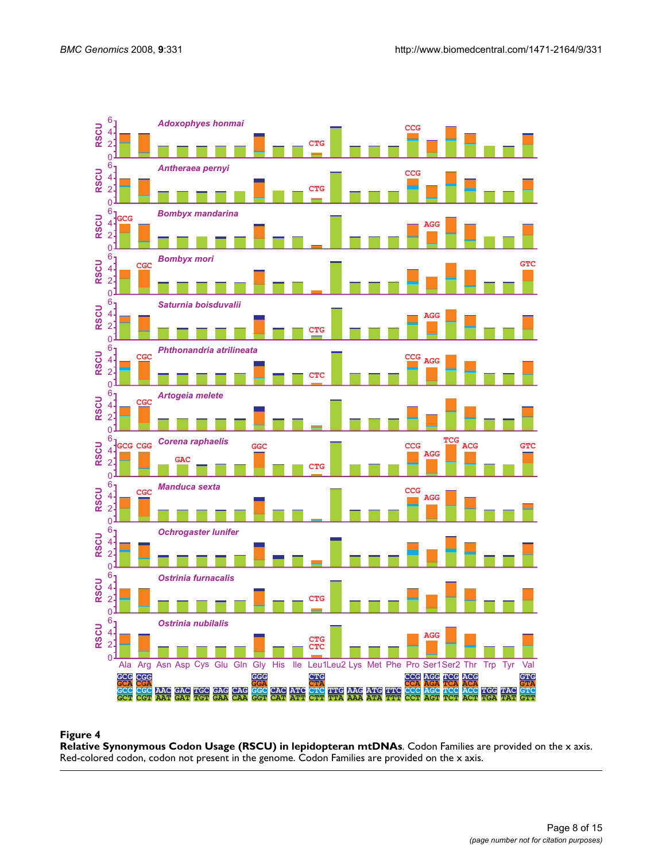

**Relative Synonymous Codon Usage (RSCU) in lepidopteran mtDNAs**. Codon Families are provided on the x axis. Red-colored codon, codon not present in the genome. Codon Families are provided on the x axis.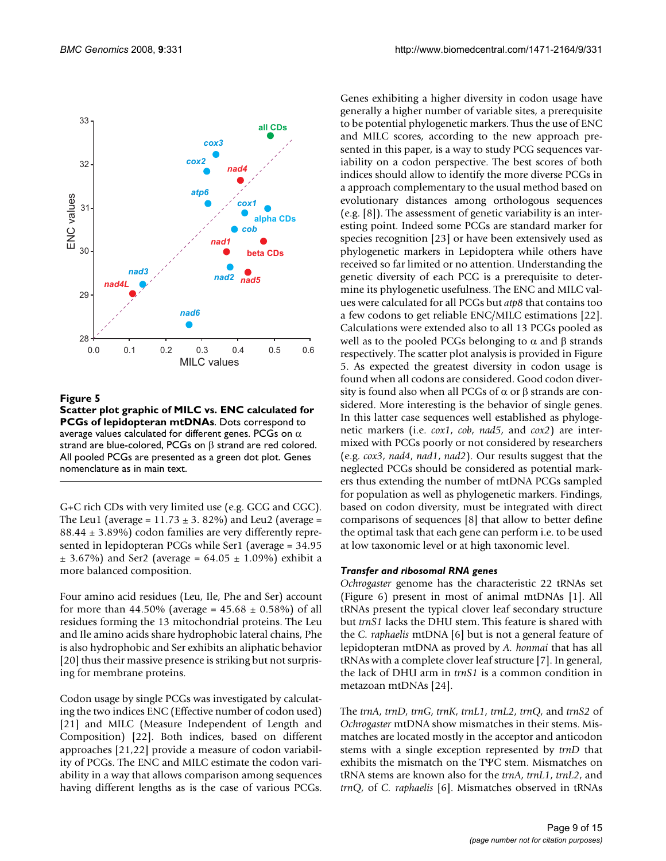

**Scatter plot graphic of MILC vs. ENC calculated for PCGs of lepidopteran mtDNAs**. Dots correspond to average values calculated for different genes. PCGs on  $\alpha$ strand are blue-colored, PCGs on β strand are red colored. All pooled PCGs are presented as a green dot plot. Genes nomenclature as in main text.

G+C rich CDs with very limited use (e.g. GCG and CGC). The Leu1 (average =  $11.73 \pm 3.82\%$ ) and Leu2 (average =  $88.44 \pm 3.89\%$  codon families are very differently represented in lepidopteran PCGs while Ser1 (average = 34.95  $\pm$  3.67%) and Ser2 (average = 64.05  $\pm$  1.09%) exhibit a more balanced composition.

Four amino acid residues (Leu, Ile, Phe and Ser) account for more than 44.50% (average =  $45.68 \pm 0.58$ %) of all residues forming the 13 mitochondrial proteins. The Leu and Ile amino acids share hydrophobic lateral chains, Phe is also hydrophobic and Ser exhibits an aliphatic behavior [20] thus their massive presence is striking but not surprising for membrane proteins.

Codon usage by single PCGs was investigated by calculating the two indices ENC (Effective number of codon used) [21] and MILC (Measure Independent of Length and Composition) [22]. Both indices, based on different approaches [21,22] provide a measure of codon variability of PCGs. The ENC and MILC estimate the codon variability in a way that allows comparison among sequences having different lengths as is the case of various PCGs.

Genes exhibiting a higher diversity in codon usage have generally a higher number of variable sites, a prerequisite to be potential phylogenetic markers. Thus the use of ENC and MILC scores, according to the new approach presented in this paper, is a way to study PCG sequences variability on a codon perspective. The best scores of both indices should allow to identify the more diverse PCGs in a approach complementary to the usual method based on evolutionary distances among orthologous sequences (e.g. [\[8\]](#page-13-1)). The assessment of genetic variability is an interesting point. Indeed some PCGs are standard marker for species recognition [23] or have been extensively used as phylogenetic markers in Lepidoptera while others have received so far limited or no attention. Understanding the genetic diversity of each PCG is a prerequisite to determine its phylogenetic usefulness. The ENC and MILC values were calculated for all PCGs but *atp8* that contains too a few codons to get reliable ENC/MILC estimations [22]. Calculations were extended also to all 13 PCGs pooled as well as to the pooled PCGs belonging to  $α$  and  $β$  strands respectively. The scatter plot analysis is provided in Figure 5. As expected the greatest diversity in codon usage is found when all codons are considered. Good codon diversity is found also when all PCGs of  $\alpha$  or  $\beta$  strands are considered. More interesting is the behavior of single genes. In this latter case sequences well established as phylogenetic markers (i.e. *cox1*, *cob*, *nad5*, and *cox2*) are intermixed with PCGs poorly or not considered by researchers (e.g. *cox3*, *nad4*, *nad1*, *nad2*). Our results suggest that the neglected PCGs should be considered as potential markers thus extending the number of mtDNA PCGs sampled for population as well as phylogenetic markers. Findings, based on codon diversity, must be integrated with direct comparisons of sequences [[8](#page-13-1)] that allow to better define the optimal task that each gene can perform i.e. to be used at low taxonomic level or at high taxonomic level.

#### *Transfer and ribosomal RNA genes*

*Ochrogaster* genome has the characteristic 22 tRNAs set (Figure 6) present in most of animal mtDNAs [1]. All tRNAs present the typical clover leaf secondary structure but *trnS1* lacks the DHU stem. This feature is shared with the *C. raphaelis* mtDNA [\[6\]](#page-13-4) but is not a general feature of lepidopteran mtDNA as proved by *A. honmai* that has all tRNAs with a complete clover leaf structure [[7](#page-13-3)]. In general, the lack of DHU arm in *trnS1* is a common condition in metazoan mtDNAs [24].

The *trnA*, *trnD*, *trnG*, *trnK*, *trnL1*, *trnL2*, *trnQ*, and *trnS2* of *Ochrogaster* mtDNA show mismatches in their stems. Mismatches are located mostly in the acceptor and anticodon stems with a single exception represented by *trnD* that exhibits the mismatch on the TΨC stem. Mismatches on tRNA stems are known also for the *trnA*, *trnL1*, *trnL2*, and *trnQ*, of *C. raphaelis* [[6](#page-13-4)]. Mismatches observed in tRNAs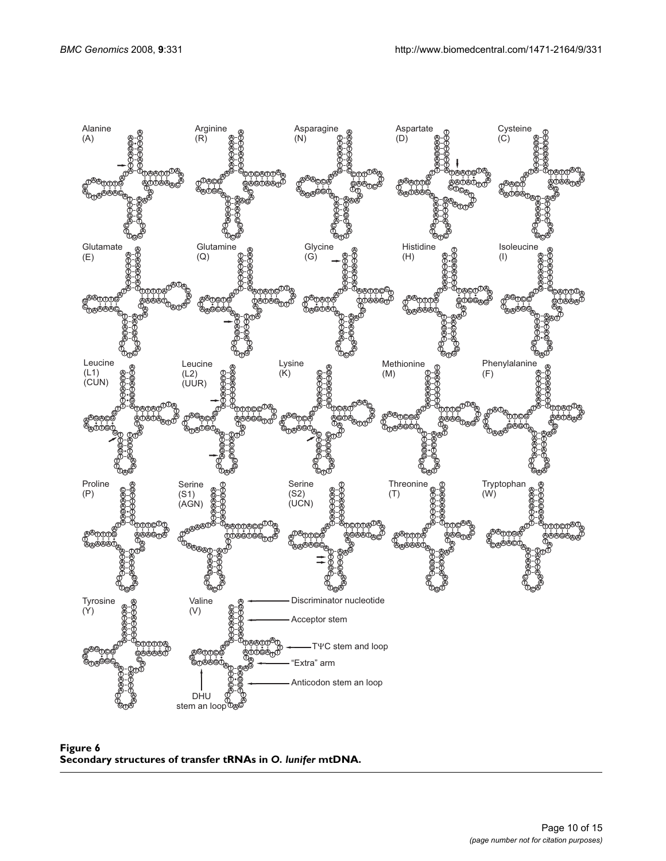

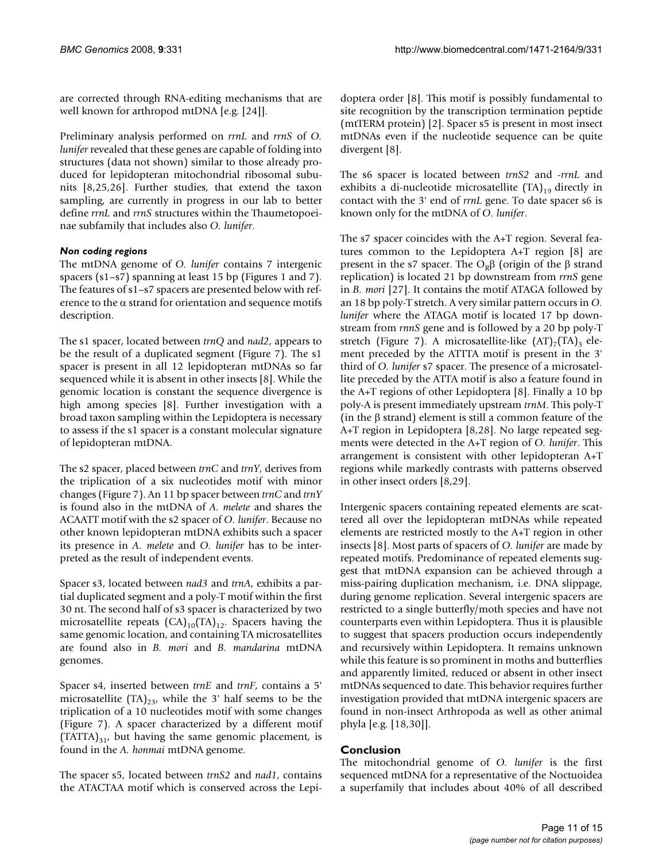are corrected through RNA-editing mechanisms that are well known for arthropod mtDNA [e.g. [24]].

Preliminary analysis performed on *rrnL* and *rrnS* of *O. lunifer* revealed that these genes are capable of folding into structures (data not shown) similar to those already produced for lepidopteran mitochondrial ribosomal subunits [[8](#page-13-1),25,26]. Further studies, that extend the taxon sampling, are currently in progress in our lab to better define *rrnL* and *rrnS* structures within the Thaumetopoeinae subfamily that includes also *O. lunifer*.

## *Non coding regions*

The mtDNA genome of *O. lunifer* contains 7 intergenic spacers (s1–s7) spanning at least 15 bp (Figures 1 and 7). The features of s1–s7 spacers are presented below with reference to the  $\alpha$  strand for orientation and sequence motifs description.

The s1 spacer, located between *trnQ* and *nad2*, appears to be the result of a duplicated segment (Figure 7). The s1 spacer is present in all 12 lepidopteran mtDNAs so far sequenced while it is absent in other insects [\[8](#page-13-1)]. While the genomic location is constant the sequence divergence is high among species [\[8\]](#page-13-1). Further investigation with a broad taxon sampling within the Lepidoptera is necessary to assess if the s1 spacer is a constant molecular signature of lepidopteran mtDNA.

The s2 spacer, placed between *trnC* and *trnY*, derives from the triplication of a six nucleotides motif with minor changes (Figure 7). An 11 bp spacer between *trnC* and *trnY* is found also in the mtDNA of *A. melete* and shares the ACAATT motif with the s2 spacer of *O. lunifer*. Because no other known lepidopteran mtDNA exhibits such a spacer its presence in *A. melete* and *O. lunifer* has to be interpreted as the result of independent events.

Spacer s3, located between *nad3* and *trnA*, exhibits a partial duplicated segment and a poly-T motif within the first 30 nt. The second half of s3 spacer is characterized by two microsatellite repeats  $(CA)_{10}(TA)_{12}$ . Spacers having the same genomic location, and containing TA microsatellites are found also in *B. mori* and *B. mandarina* mtDNA genomes.

Spacer s4, inserted between *trnE* and *trnF*, contains a 5' microsatellite  $(TA)_{23}$ , while the 3' half seems to be the triplication of a 10 nucleotides motif with some changes (Figure 7). A spacer characterized by a different motif  $(TATTA)_{31}$ , but having the same genomic placement, is found in the *A. honmai* mtDNA genome.

The spacer s5, located between *trnS2* and *nad1*, contains the ATACTAA motif which is conserved across the Lepidoptera order [[8](#page-13-1)]. This motif is possibly fundamental to site recognition by the transcription termination peptide (mtTERM protein) [2]. Spacer s5 is present in most insect mtDNAs even if the nucleotide sequence can be quite divergent [\[8\]](#page-13-1).

The s6 spacer is located between *trnS2* and -*rrnL* and exhibits a di-nucleotide microsatellite  $(TA)_{19}$  directly in contact with the 3' end of *rrnL* gene. To date spacer s6 is known only for the mtDNA of *O. lunifer*.

The s7 spacer coincides with the A+T region. Several features common to the Lepidoptera A+T region [\[8\]](#page-13-1) are present in the s7 spacer. The  $O_Rβ$  (origin of the β strand replication) is located 21 bp downstream from *rrnS* gene in *B. mori* [27]. It contains the motif ATAGA followed by an 18 bp poly-T stretch. A very similar pattern occurs in *O. lunifer* where the ATAGA motif is located 17 bp downstream from *rnnS* gene and is followed by a 20 bp poly-T stretch (Figure 7). A microsatellite-like  $(AT)_{7}(TA)_{3}$  element preceded by the ATTTA motif is present in the 3' third of *O. lunifer* s7 spacer. The presence of a microsatellite preceded by the ATTA motif is also a feature found in the A+T regions of other Lepidoptera [[8](#page-13-1)]. Finally a 10 bp poly-A is present immediately upstream *trnM*. This poly-T (in the  $\beta$  strand) element is still a common feature of the A+T region in Lepidoptera [[8](#page-13-1),28]. No large repeated segments were detected in the A+T region of *O. lunifer*. This arrangement is consistent with other lepidopteran A+T regions while markedly contrasts with patterns observed in other insect orders [\[8,](#page-13-1)29].

Intergenic spacers containing repeated elements are scattered all over the lepidopteran mtDNAs while repeated elements are restricted mostly to the A+T region in other insects [[8](#page-13-1)]. Most parts of spacers of *O. lunifer* are made by repeated motifs. Predominance of repeated elements suggest that mtDNA expansion can be achieved through a miss-pairing duplication mechanism, i.e. DNA slippage, during genome replication. Several intergenic spacers are restricted to a single butterfly/moth species and have not counterparts even within Lepidoptera. Thus it is plausible to suggest that spacers production occurs independently and recursively within Lepidoptera. It remains unknown while this feature is so prominent in moths and butterflies and apparently limited, reduced or absent in other insect mtDNAs sequenced to date. This behavior requires further investigation provided that mtDNA intergenic spacers are found in non-insect Arthropoda as well as other animal phyla [e.g. [18,30]].

## **Conclusion**

The mitochondrial genome of *O. lunifer* is the first sequenced mtDNA for a representative of the Noctuoidea a superfamily that includes about 40% of all described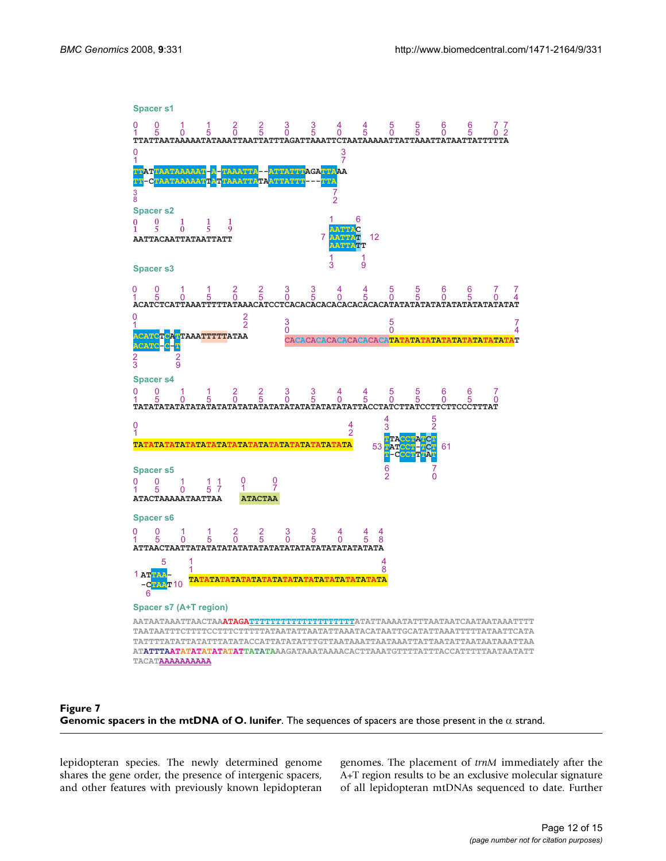



lepidopteran species. The newly determined genome shares the gene order, the presence of intergenic spacers, and other features with previously known lepidopteran genomes. The placement of *trnM* immediately after the A+T region results to be an exclusive molecular signature of all lepidopteran mtDNAs sequenced to date. Further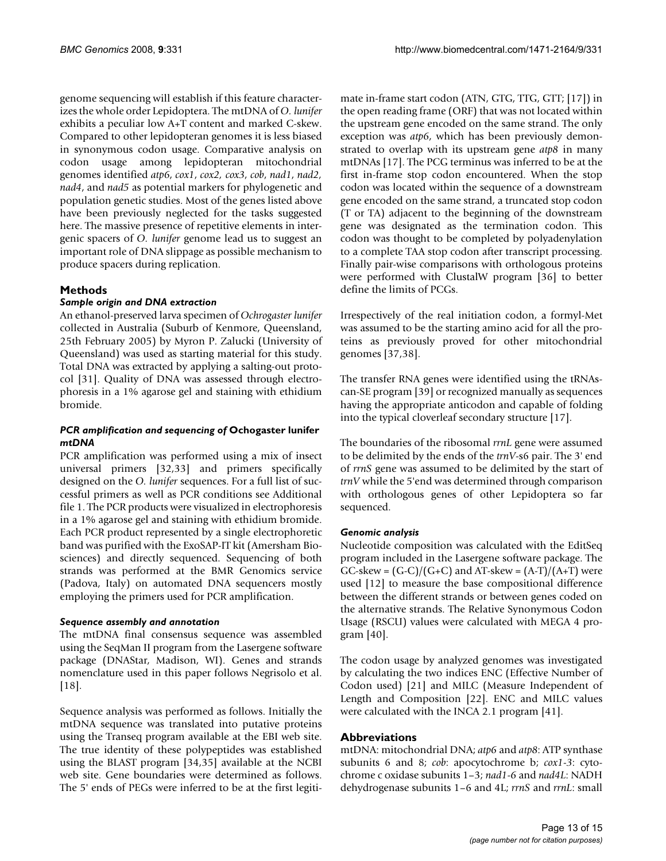genome sequencing will establish if this feature characterizes the whole order Lepidoptera. The mtDNA of *O. lunifer* exhibits a peculiar low A+T content and marked C-skew. Compared to other lepidopteran genomes it is less biased in synonymous codon usage. Comparative analysis on codon usage among lepidopteran mitochondrial genomes identified *atp6*, *cox1*, *cox2, cox3*, *cob*, *nad1*, *nad2, nad4*, and *nad5* as potential markers for phylogenetic and population genetic studies. Most of the genes listed above have been previously neglected for the tasks suggested here. The massive presence of repetitive elements in intergenic spacers of *O. lunifer* genome lead us to suggest an important role of DNA slippage as possible mechanism to produce spacers during replication.

## **Methods**

## *Sample origin and DNA extraction*

An ethanol-preserved larva specimen of *Ochrogaster lunifer* collected in Australia (Suburb of Kenmore, Queensland, 25th February 2005) by Myron P. Zalucki (University of Queensland) was used as starting material for this study. Total DNA was extracted by applying a salting-out protocol [31]. Quality of DNA was assessed through electrophoresis in a 1% agarose gel and staining with ethidium bromide.

#### *PCR amplification and sequencing of* **Ochogaster lunifer**  *mtDNA*

PCR amplification was performed using a mix of insect universal primers [32,33] and primers specifically designed on the *O. lunifer* sequences. For a full list of successful primers as well as PCR conditions see Additional file 1. The PCR products were visualized in electrophoresis in a 1% agarose gel and staining with ethidium bromide. Each PCR product represented by a single electrophoretic band was purified with the ExoSAP-IT kit (Amersham Biosciences) and directly sequenced. Sequencing of both strands was performed at the BMR Genomics service (Padova, Italy) on automated DNA sequencers mostly employing the primers used for PCR amplification.

#### *Sequence assembly and annotation*

The mtDNA final consensus sequence was assembled using the SeqMan II program from the Lasergene software package (DNAStar, Madison, WI). Genes and strands nomenclature used in this paper follows Negrisolo et al. [18].

Sequence analysis was performed as follows. Initially the mtDNA sequence was translated into putative proteins using the Transeq program available at the EBI web site. The true identity of these polypeptides was established using the BLAST program [34,35] available at the NCBI web site. Gene boundaries were determined as follows. The 5' ends of PEGs were inferred to be at the first legitimate in-frame start codon (ATN, GTG, TTG, GTT; [17]) in the open reading frame (ORF) that was not located within the upstream gene encoded on the same strand. The only exception was *atp6*, which has been previously demonstrated to overlap with its upstream gene *atp8* in many mtDNAs [17]. The PCG terminus was inferred to be at the first in-frame stop codon encountered. When the stop codon was located within the sequence of a downstream gene encoded on the same strand, a truncated stop codon (T or TA) adjacent to the beginning of the downstream gene was designated as the termination codon. This codon was thought to be completed by polyadenylation to a complete TAA stop codon after transcript processing. Finally pair-wise comparisons with orthologous proteins were performed with ClustalW program [36] to better define the limits of PCGs.

Irrespectively of the real initiation codon, a formyl-Met was assumed to be the starting amino acid for all the proteins as previously proved for other mitochondrial genomes [37,38].

The transfer RNA genes were identified using the tRNAscan-SE program [39] or recognized manually as sequences having the appropriate anticodon and capable of folding into the typical cloverleaf secondary structure [17].

The boundaries of the ribosomal *rrnL* gene were assumed to be delimited by the ends of the *trnV*-s6 pair. The 3' end of *rrnS* gene was assumed to be delimited by the start of *trnV* while the 5'end was determined through comparison with orthologous genes of other Lepidoptera so far sequenced.

## *Genomic analysis*

Nucleotide composition was calculated with the EditSeq program included in the Lasergene software package. The  $GC$ -skew =  $(G-C)/(G+C)$  and AT-skew =  $(A-T)/(A+T)$  were used [12] to measure the base compositional difference between the different strands or between genes coded on the alternative strands. The Relative Synonymous Codon Usage (RSCU) values were calculated with MEGA 4 program [40].

The codon usage by analyzed genomes was investigated by calculating the two indices ENC (Effective Number of Codon used) [21] and MILC (Measure Independent of Length and Composition [22]. ENC and MILC values were calculated with the INCA 2.1 program [41].

## **Abbreviations**

mtDNA: mitochondrial DNA; *atp6* and *atp8*: ATP synthase subunits 6 and 8; *cob*: apocytochrome b; *cox1*-*3*: cytochrome c oxidase subunits 1–3; *nad1*-*6* and *nad4L*: NADH dehydrogenase subunits 1–6 and 4L; *rrnS* and *rrnL*: small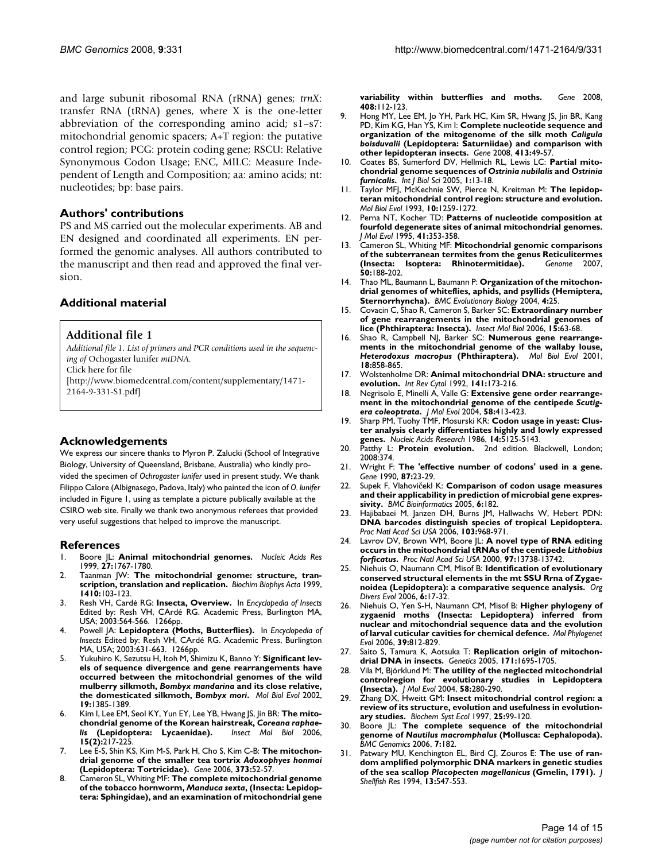and large subunit ribosomal RNA (rRNA) genes; *trnX*: transfer RNA (tRNA) genes, where X is the one-letter abbreviation of the corresponding amino acid; s1–s7: mitochondrial genomic spacers; A+T region: the putative control region; PCG: protein coding gene; RSCU: Relative Synonymous Codon Usage; ENC, MILC: Measure Independent of Length and Composition; aa: amino acids; nt: nucleotides; bp: base pairs.

#### **Authors' contributions**

PS and MS carried out the molecular experiments. AB and EN designed and coordinated all experiments. EN performed the genomic analyses. All authors contributed to the manuscript and then read and approved the final version.

## **Additional material**

#### **Additional file 1**

*Additional file 1. List of primers and PCR conditions used in the sequencing of* Ochogaster lunifer *mtDNA.*

Click here for file

[\[http://www.biomedcentral.com/content/supplementary/1471-](http://www.biomedcentral.com/content/supplementary/1471-2164-9-331-S1.pdf) 2164-9-331-S1.pdf]

## **Acknowledgements**

We express our sincere thanks to Myron P. Zalucki (School of Integrative Biology, University of Queensland, Brisbane, Australia) who kindly provided the specimen of *Ochrogaster lunifer* used in present study. We thank Filippo Calore (Albignasego, Padova, Italy) who painted the icon of *O. lunifer*  included in Figure 1, using as template a picture publically available at the CSIRO web site. Finally we thank two anonymous referees that provided very useful suggestions that helped to improve the manuscript.

#### **References**

- 1. Boore JL: **[Animal mitochondrial genomes.](http://www.ncbi.nlm.nih.gov/entrez/query.fcgi?cmd=Retrieve&db=PubMed&dopt=Abstract&list_uids=10101183)** *Nucleic Acids Res* 1999, **27:**1767-1780.
- 2. Taanman JW: **[The mitochondrial genome: structure, tran](http://www.ncbi.nlm.nih.gov/entrez/query.fcgi?cmd=Retrieve&db=PubMed&dopt=Abstract&list_uids=10076021)[scription, translation and replication.](http://www.ncbi.nlm.nih.gov/entrez/query.fcgi?cmd=Retrieve&db=PubMed&dopt=Abstract&list_uids=10076021)** *Biochim Biophys Acta* 1999, **1410:**103-123.
- 3. Resh VH, Cardé RG: **Insecta, Overview.** In *Encyclopedia of Insects* Edited by: Resh VH, CArdé RG. Academic Press, Burlington MA, USA; 2003:564-566. 1266pp.
- 4. Powell JA: **Lepidoptera (Moths, Butterflies).** In *Encyclopedia of Insects* Edited by: Resh VH, CArdé RG. Academic Press, Burlington MA, USA; 2003:631-663. 1266pp.
- 5. Yukuhiro K, Sezutsu H, Itoh M, Shimizu K, Banno Y: **Significant levels of sequence divergence and gene rearrangements have occurred between the mitochondrial genomes of the wild mulberry silkmoth,** *Bombyx mandarina* **and its close relative, the domesticated silkmoth,** *Bombyx mori***[.](http://www.ncbi.nlm.nih.gov/entrez/query.fcgi?cmd=Retrieve&db=PubMed&dopt=Abstract&list_uids=12140251)** *Mol Biol Evol* 2002, **19:**1385-1389.
- <span id="page-13-4"></span>Kim I, Lee EM, Seol KY, Yun EY, Lee YB, Hwang JS, Jin BR: The mito**chondrial genome of the Korean hairstreak,** *Coreana raphaelis* [\(Lepidoptera: Lycaenidae\).](http://www.ncbi.nlm.nih.gov/entrez/query.fcgi?cmd=Retrieve&db=PubMed&dopt=Abstract&list_uids=16640732) **15(2):**217-225.
- <span id="page-13-3"></span>7. Lee E-S, Shin KS, Kim M-S, Park H, Cho S, Kim C-B: **The mitochondrial genome of the smaller tea tortrix** *Adoxophyes honmai* **[\(Lepidoptera: Tortricidae\).](http://www.ncbi.nlm.nih.gov/entrez/query.fcgi?cmd=Retrieve&db=PubMed&dopt=Abstract&list_uids=16488090)** *Gene* 2006, **373:**52-57.
- <span id="page-13-1"></span>8. Cameron SL, Whiting MF: **The complete mitochondrial genome of the tobacco hornworm,** *Manduca sexta***[, \(Insecta: Lepidop](http://www.ncbi.nlm.nih.gov/entrez/query.fcgi?cmd=Retrieve&db=PubMed&dopt=Abstract&list_uids=18065166)[tera: Sphingidae\), and an examination of mitochondrial gene](http://www.ncbi.nlm.nih.gov/entrez/query.fcgi?cmd=Retrieve&db=PubMed&dopt=Abstract&list_uids=18065166)**

**[variability within butterflies and moths.](http://www.ncbi.nlm.nih.gov/entrez/query.fcgi?cmd=Retrieve&db=PubMed&dopt=Abstract&list_uids=18065166)** *Gene* 2008, **408:**112-123.

- <span id="page-13-0"></span>9. Hong MY, Lee EM, Jo YH, Park HC, Kim SR, Hwang JS, Jin BR, Kang PD, Kim KG, Han YS, Kim I: **Complete nucleotide sequence and organization of the mitogenome of the silk moth** *Caligula boisduvalii* **[\(Lepidoptera: Saturniidae\) and comparison with](http://www.ncbi.nlm.nih.gov/entrez/query.fcgi?cmd=Retrieve&db=PubMed&dopt=Abstract&list_uids=18337026) [other lepidopteran insects.](http://www.ncbi.nlm.nih.gov/entrez/query.fcgi?cmd=Retrieve&db=PubMed&dopt=Abstract&list_uids=18337026)** *Gene* 2008, **413:**49-57.
- 10. Coates BS, Sumerford DV, Hellmich RL, Lewis LC: **Partial mitochondrial genome sequences of** *Ostrinia nubilalis* **and** *Ostrinia furnicalis***[.](http://www.ncbi.nlm.nih.gov/entrez/query.fcgi?cmd=Retrieve&db=PubMed&dopt=Abstract&list_uids=15951845)** *Int J Biol Sci* 2005, **1:**13-18.
- 11. Taylor MFJ, McKechnie SW, Pierce N, Kreitman M: **[The lepidop](http://www.ncbi.nlm.nih.gov/entrez/query.fcgi?cmd=Retrieve&db=PubMed&dopt=Abstract&list_uids=8277854)[teran mitochondrial control region: structure and evolution.](http://www.ncbi.nlm.nih.gov/entrez/query.fcgi?cmd=Retrieve&db=PubMed&dopt=Abstract&list_uids=8277854)** *Mol Biol Evol* 1993, **10:**1259-1272.
- 12. Perna NT, Kocher TD: **[Patterns of nucleotide composition at](http://www.ncbi.nlm.nih.gov/entrez/query.fcgi?cmd=Retrieve&db=PubMed&dopt=Abstract&list_uids=7563121) [fourfold degenerate sites of animal mitochondrial genomes.](http://www.ncbi.nlm.nih.gov/entrez/query.fcgi?cmd=Retrieve&db=PubMed&dopt=Abstract&list_uids=7563121)** *J Mol Evol* 1995, **41:**353-358.
- 13. Cameron SL, Whiting MF: **[Mitochondrial genomic comparisons](http://www.ncbi.nlm.nih.gov/entrez/query.fcgi?cmd=Retrieve&db=PubMed&dopt=Abstract&list_uids=17546084) [of the subterranean termites from the genus Reticulitermes](http://www.ncbi.nlm.nih.gov/entrez/query.fcgi?cmd=Retrieve&db=PubMed&dopt=Abstract&list_uids=17546084) [\(Insecta: Isoptera: Rhinotermitidae\).](http://www.ncbi.nlm.nih.gov/entrez/query.fcgi?cmd=Retrieve&db=PubMed&dopt=Abstract&list_uids=17546084)** *Genome* 2007, **50:**188-202.
- 14. Thao ML, Baumann L, Baumann P: **[Organization of the mitochon](http://www.ncbi.nlm.nih.gov/entrez/query.fcgi?cmd=Retrieve&db=PubMed&dopt=Abstract&list_uids=15291971)[drial genomes of whiteflies, aphids, and psyllids \(Hemiptera,](http://www.ncbi.nlm.nih.gov/entrez/query.fcgi?cmd=Retrieve&db=PubMed&dopt=Abstract&list_uids=15291971) [Sternorrhyncha\).](http://www.ncbi.nlm.nih.gov/entrez/query.fcgi?cmd=Retrieve&db=PubMed&dopt=Abstract&list_uids=15291971)** *BMC Evolutionary Biology* 2004, **4:**25.
- 15. Covacin C, Shao R, Cameron S, Barker SC: **[Extraordinary number](http://www.ncbi.nlm.nih.gov/entrez/query.fcgi?cmd=Retrieve&db=PubMed&dopt=Abstract&list_uids=16469069) [of gene rearrangements in the mitochondrial genomes of](http://www.ncbi.nlm.nih.gov/entrez/query.fcgi?cmd=Retrieve&db=PubMed&dopt=Abstract&list_uids=16469069) [lice \(Phthiraptera: Insecta\).](http://www.ncbi.nlm.nih.gov/entrez/query.fcgi?cmd=Retrieve&db=PubMed&dopt=Abstract&list_uids=16469069)** *Insect Mol Biol* 2006, **15:**63-68.
- <span id="page-13-2"></span>16. Shao R, Campbell NJ, Barker SC: **Numerous gene rearrangements in the mitochondrial genome of the wallaby louse,** *Heterodoxus macropus* **[\(Phthiraptera\).](http://www.ncbi.nlm.nih.gov/entrez/query.fcgi?cmd=Retrieve&db=PubMed&dopt=Abstract&list_uids=11319269)** *Mol Biol Evol* 2001, **18:**858-865.
- 17. Wolstenholme DR: **[Animal mitochondrial DNA: structure and](http://www.ncbi.nlm.nih.gov/entrez/query.fcgi?cmd=Retrieve&db=PubMed&dopt=Abstract&list_uids=1452431) [evolution.](http://www.ncbi.nlm.nih.gov/entrez/query.fcgi?cmd=Retrieve&db=PubMed&dopt=Abstract&list_uids=1452431)** *Int Rev Cytol* 1992, **141:**173-216.
- 18. Negrisolo E, Minelli A, Valle G: **Extensive gene order rearrangement in the mitochondrial genome of the centipede** *Scutigera coleoptrata***[.](http://www.ncbi.nlm.nih.gov/entrez/query.fcgi?cmd=Retrieve&db=PubMed&dopt=Abstract&list_uids=15114420)** *J Mol Evol* 2004, **58:**413-423.
- 19. Sharp PM, Tuohy TMF, Mosurski KR: **[Codon usage in yeast: Clus](http://www.ncbi.nlm.nih.gov/entrez/query.fcgi?cmd=Retrieve&db=PubMed&dopt=Abstract&list_uids=3526280)[ter analysis clearly differentiates highly and lowly expressed](http://www.ncbi.nlm.nih.gov/entrez/query.fcgi?cmd=Retrieve&db=PubMed&dopt=Abstract&list_uids=3526280) [genes.](http://www.ncbi.nlm.nih.gov/entrez/query.fcgi?cmd=Retrieve&db=PubMed&dopt=Abstract&list_uids=3526280)** *Nucleic Acids Research* 1986, **14:**5125-5143.
- 20. Patthy L: **Protein evolution.** 2nd edition. Blackwell, London; 2008:374.
- 21. Wright F: **[The 'effective number of codons' used in a gene.](http://www.ncbi.nlm.nih.gov/entrez/query.fcgi?cmd=Retrieve&db=PubMed&dopt=Abstract&list_uids=2110097)** *Gene* 1990, **87:**23-29.
- 22. Supek F, Vlahovičekl K: **[Comparison of codon usage measures](http://www.ncbi.nlm.nih.gov/entrez/query.fcgi?cmd=Retrieve&db=PubMed&dopt=Abstract&list_uids=16029499) [and their applicability in prediction of microbial gene expres](http://www.ncbi.nlm.nih.gov/entrez/query.fcgi?cmd=Retrieve&db=PubMed&dopt=Abstract&list_uids=16029499)[sivity.](http://www.ncbi.nlm.nih.gov/entrez/query.fcgi?cmd=Retrieve&db=PubMed&dopt=Abstract&list_uids=16029499)** *BMC Bioinformatics* 2005, **6:**182.
- Hajibabaei M, Janzen DH, Burns JM, Hallwachs W, Hebert PDN: **[DNA barcodes distinguish species of tropical Lepidoptera.](http://www.ncbi.nlm.nih.gov/entrez/query.fcgi?cmd=Retrieve&db=PubMed&dopt=Abstract&list_uids=16418261)** *Proc Natl Acad Sci USA* 2006, **103:**968-971.
- 24. Lavrov DV, Brown WM, Boore JL: **A novel type of RNA editing occurs in the mitochondrial tRNAs of the centipede** *Lithobius forficatus***[.](http://www.ncbi.nlm.nih.gov/entrez/query.fcgi?cmd=Retrieve&db=PubMed&dopt=Abstract&list_uids=11095730)** *Proc Natl Acad Sci USA* 2000, **97:**13738-13742.
- 25. Niehuis O, Naumann CM, Misof B: **Identification of evolutionary conserved structural elements in the mt SSU Rrna of Zygaenoidea (Lepidoptera): a comparative sequence analysis.** *Org Divers Evol* 2006, **6:**17-32.
- 26. Niehuis O, Yen S-H, Naumann CM, Misof B: **[Higher phylogeny of](http://www.ncbi.nlm.nih.gov/entrez/query.fcgi?cmd=Retrieve&db=PubMed&dopt=Abstract&list_uids=16483803) [zygaenid moths \(Insecta: Lepidoptera\) inferred from](http://www.ncbi.nlm.nih.gov/entrez/query.fcgi?cmd=Retrieve&db=PubMed&dopt=Abstract&list_uids=16483803) nuclear and mitochondrial sequence data and the evolution [of larval cuticular cavities for chemical defence.](http://www.ncbi.nlm.nih.gov/entrez/query.fcgi?cmd=Retrieve&db=PubMed&dopt=Abstract&list_uids=16483803)** *Mol Phylogenet Evol* 2006, **39:**812-829.
- 27. Saito S, Tamura K, Aotsuka T: **[Replication origin of mitochon](http://www.ncbi.nlm.nih.gov/entrez/query.fcgi?cmd=Retrieve&db=PubMed&dopt=Abstract&list_uids=16118189)[drial DNA in insects.](http://www.ncbi.nlm.nih.gov/entrez/query.fcgi?cmd=Retrieve&db=PubMed&dopt=Abstract&list_uids=16118189)** *Genetics* 2005, **171:**1695-1705.
- 28. Vila M, Björklund M: **[The utility of the neglected mitochondrial](http://www.ncbi.nlm.nih.gov/entrez/query.fcgi?cmd=Retrieve&db=PubMed&dopt=Abstract&list_uids=15045483) [controlregion for evolutionary studies in Lepidoptera](http://www.ncbi.nlm.nih.gov/entrez/query.fcgi?cmd=Retrieve&db=PubMed&dopt=Abstract&list_uids=15045483) [\(Insecta\).](http://www.ncbi.nlm.nih.gov/entrez/query.fcgi?cmd=Retrieve&db=PubMed&dopt=Abstract&list_uids=15045483)** *J Mol Evol* 2004, **58:**280-290.
- 29. Zhang DX, Hweitt GM: **Insect mitochondrial control region: a review of its structure, evolution and usefulness in evolutionary studies.** *Biochem Syst Ecol* 1997, **25:**99-120.
- 30. Boore JL: **The complete sequence of the mitochondrial genome of** *Nautilus macromphalus* **[\(Mollusca: Cephalopoda\).](http://www.ncbi.nlm.nih.gov/entrez/query.fcgi?cmd=Retrieve&db=PubMed&dopt=Abstract&list_uids=16854241)** *BMC Genomics* 2006, **7:**182.
- Patwary MU, Kenchington EL, Bird CJ, Zouros E: The use of ran**dom amplified polymorphic DNA markers in genetic studies of the sea scallop** *Placopecten magellanicus* **(Gmelin, 1791).** *J Shellfish Res* 1994, **13:**547-553.